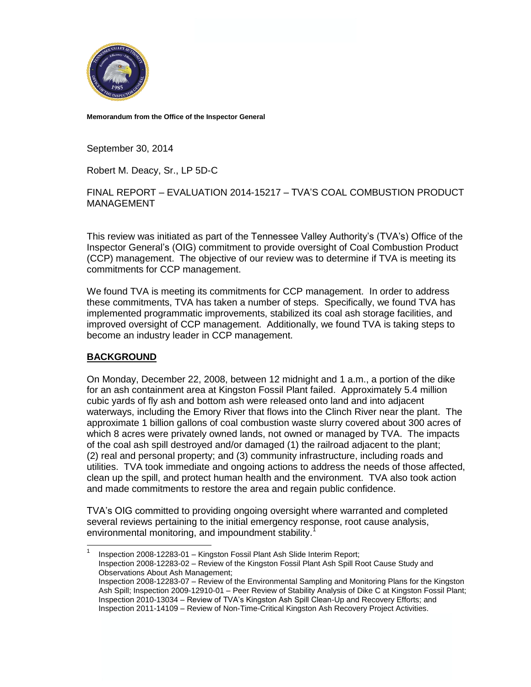

**Memorandum from the Office of the Inspector General**

September 30, 2014

Robert M. Deacy, Sr., LP 5D-C

### FINAL REPORT – EVALUATION 2014-15217 – TVA'S COAL COMBUSTION PRODUCT MANAGEMENT

This review was initiated as part of the Tennessee Valley Authority's (TVA's) Office of the Inspector General's (OIG) commitment to provide oversight of Coal Combustion Product (CCP) management. The objective of our review was to determine if TVA is meeting its commitments for CCP management.

We found TVA is meeting its commitments for CCP management. In order to address these commitments, TVA has taken a number of steps. Specifically, we found TVA has implemented programmatic improvements, stabilized its coal ash storage facilities, and improved oversight of CCP management. Additionally, we found TVA is taking steps to become an industry leader in CCP management.

### **BACKGROUND**

On Monday, December 22, 2008, between 12 midnight and 1 a.m., a portion of the dike for an ash containment area at Kingston Fossil Plant failed. Approximately 5.4 million cubic yards of fly ash and bottom ash were released onto land and into adjacent waterways, including the Emory River that flows into the Clinch River near the plant. The approximate 1 billion gallons of coal combustion waste slurry covered about 300 acres of which 8 acres were privately owned lands, not owned or managed by TVA. The impacts of the coal ash spill destroyed and/or damaged (1) the railroad adjacent to the plant; (2) real and personal property; and (3) community infrastructure, including roads and utilities. TVA took immediate and ongoing actions to address the needs of those affected, clean up the spill, and protect human health and the environment. TVA also took action and made commitments to restore the area and regain public confidence.

TVA's OIG committed to providing ongoing oversight where warranted and completed several reviews pertaining to the initial emergency response, root cause analysis, environmental monitoring, and impoundment stability.<sup>1</sup>

 $\frac{1}{1}$ Inspection 2008-12283-01 – Kingston Fossil Plant Ash Slide Interim Report; Inspection 2008-12283-02 – Review of the Kingston Fossil Plant Ash Spill Root Cause Study and Observations About Ash Management; Inspection 2008-12283-07 – Review of the Environmental Sampling and Monitoring Plans for the Kingston Ash Spill; Inspection 2009-12910-01 – Peer Review of Stability Analysis of Dike C at Kingston Fossil Plant; Inspection 2010-13034 – Review of TVA's Kingston Ash Spill Clean-Up and Recovery Efforts; and Inspection 2011-14109 – Review of Non-Time-Critical Kingston Ash Recovery Project Activities.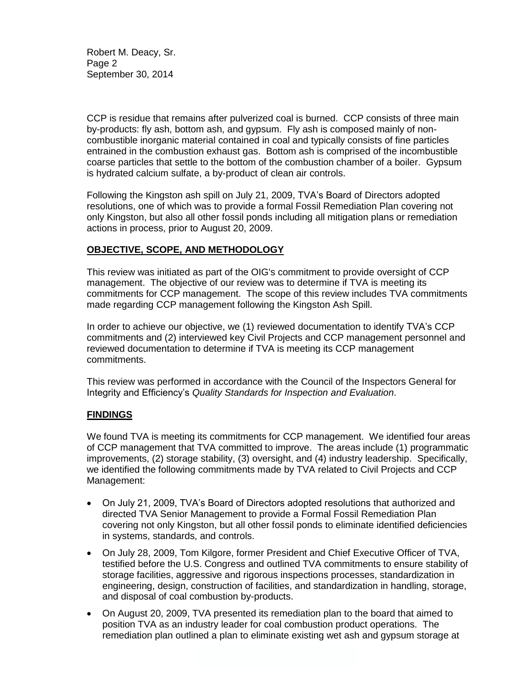Robert M. Deacy, Sr. Page 2 September 30, 2014

CCP is residue that remains after pulverized coal is burned. CCP consists of three main by-products: fly ash, bottom ash, and gypsum. Fly ash is composed mainly of noncombustible inorganic material contained in coal and typically consists of fine particles entrained in the combustion exhaust gas. Bottom ash is comprised of the incombustible coarse particles that settle to the bottom of the combustion chamber of a boiler. Gypsum is hydrated calcium sulfate, a by-product of clean air controls.

Following the Kingston ash spill on July 21, 2009, TVA's Board of Directors adopted resolutions, one of which was to provide a formal Fossil Remediation Plan covering not only Kingston, but also all other fossil ponds including all mitigation plans or remediation actions in process, prior to August 20, 2009.

# **OBJECTIVE, SCOPE, AND METHODOLOGY**

This review was initiated as part of the OIG's commitment to provide oversight of CCP management. The objective of our review was to determine if TVA is meeting its commitments for CCP management. The scope of this review includes TVA commitments made regarding CCP management following the Kingston Ash Spill.

In order to achieve our objective, we (1) reviewed documentation to identify TVA's CCP commitments and (2) interviewed key Civil Projects and CCP management personnel and reviewed documentation to determine if TVA is meeting its CCP management commitments.

This review was performed in accordance with the Council of the Inspectors General for Integrity and Efficiency's *Quality Standards for Inspection and Evaluation*.

## **FINDINGS**

We found TVA is meeting its commitments for CCP management. We identified four areas of CCP management that TVA committed to improve. The areas include (1) programmatic improvements, (2) storage stability, (3) oversight, and (4) industry leadership. Specifically, we identified the following commitments made by TVA related to Civil Projects and CCP Management:

- On July 21, 2009, TVA's Board of Directors adopted resolutions that authorized and directed TVA Senior Management to provide a Formal Fossil Remediation Plan covering not only Kingston, but all other fossil ponds to eliminate identified deficiencies in systems, standards, and controls.
- On July 28, 2009, Tom Kilgore, former President and Chief Executive Officer of TVA, testified before the U.S. Congress and outlined TVA commitments to ensure stability of storage facilities, aggressive and rigorous inspections processes, standardization in engineering, design, construction of facilities, and standardization in handling, storage, and disposal of coal combustion by-products.
- On August 20, 2009, TVA presented its remediation plan to the board that aimed to position TVA as an industry leader for coal combustion product operations. The remediation plan outlined a plan to eliminate existing wet ash and gypsum storage at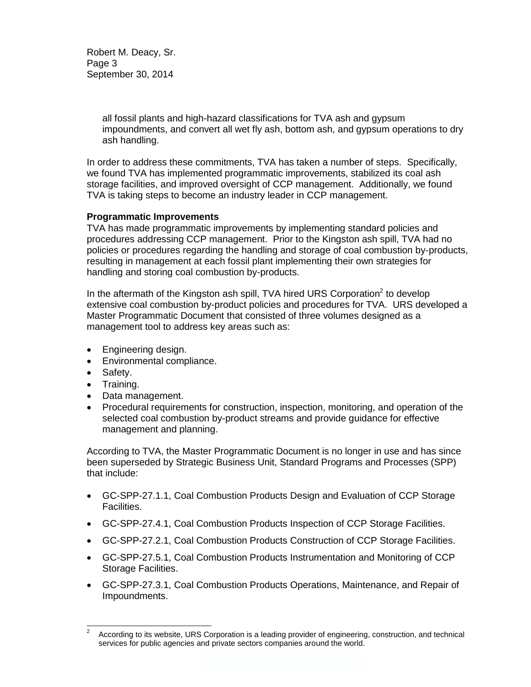Robert M. Deacy, Sr. Page 3 September 30, 2014

> all fossil plants and high-hazard classifications for TVA ash and gypsum impoundments, and convert all wet fly ash, bottom ash, and gypsum operations to dry ash handling.

In order to address these commitments, TVA has taken a number of steps. Specifically, we found TVA has implemented programmatic improvements, stabilized its coal ash storage facilities, and improved oversight of CCP management. Additionally, we found TVA is taking steps to become an industry leader in CCP management.

### **Programmatic Improvements**

TVA has made programmatic improvements by implementing standard policies and procedures addressing CCP management. Prior to the Kingston ash spill, TVA had no policies or procedures regarding the handling and storage of coal combustion by-products, resulting in management at each fossil plant implementing their own strategies for handling and storing coal combustion by-products.

In the aftermath of the Kingston ash spill, TVA hired URS Corporation $2$  to develop extensive coal combustion by-product policies and procedures for TVA. URS developed a Master Programmatic Document that consisted of three volumes designed as a management tool to address key areas such as:

- Engineering design.
- Environmental compliance.
- Safety.
- Training.
- Data management.
- Procedural requirements for construction, inspection, monitoring, and operation of the selected coal combustion by-product streams and provide guidance for effective management and planning.

According to TVA, the Master Programmatic Document is no longer in use and has since been superseded by Strategic Business Unit, Standard Programs and Processes (SPP) that include:

- GC-SPP-27.1.1, Coal Combustion Products Design and Evaluation of CCP Storage Facilities.
- GC-SPP-27.4.1, Coal Combustion Products Inspection of CCP Storage Facilities.
- GC-SPP-27.2.1, Coal Combustion Products Construction of CCP Storage Facilities.
- GC-SPP-27.5.1, Coal Combustion Products Instrumentation and Monitoring of CCP Storage Facilities.
- GC-SPP-27.3.1, Coal Combustion Products Operations, Maintenance, and Repair of Impoundments.

 $\overline{2}$ According to its website, URS Corporation is a leading provider of engineering, construction, and technical services for public agencies and private sectors companies around the world.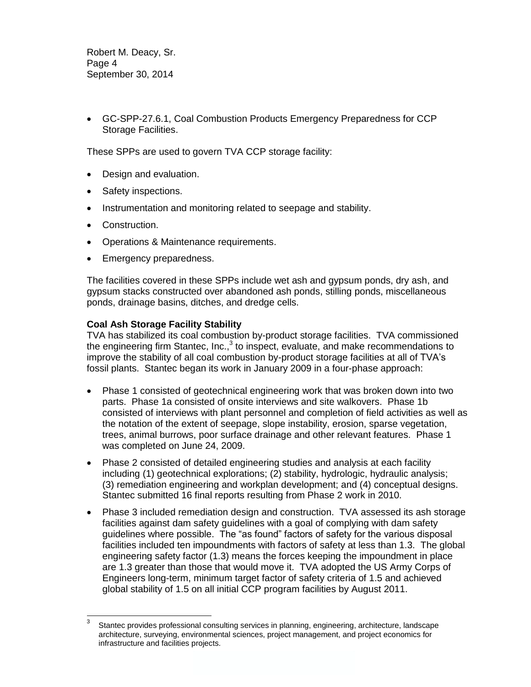Robert M. Deacy, Sr. Page 4 September 30, 2014

 GC-SPP-27.6.1, Coal Combustion Products Emergency Preparedness for CCP Storage Facilities.

These SPPs are used to govern TVA CCP storage facility:

- Design and evaluation.
- Safety inspections.
- Instrumentation and monitoring related to seepage and stability.
- Construction.

l

- Operations & Maintenance requirements.
- Emergency preparedness.

The facilities covered in these SPPs include wet ash and gypsum ponds, dry ash, and gypsum stacks constructed over abandoned ash ponds, stilling ponds, miscellaneous ponds, drainage basins, ditches, and dredge cells.

### **Coal Ash Storage Facility Stability**

TVA has stabilized its coal combustion by-product storage facilities. TVA commissioned the engineering firm Stantec, Inc.,<sup>3</sup> to inspect, evaluate, and make recommendations to improve the stability of all coal combustion by-product storage facilities at all of TVA's fossil plants. Stantec began its work in January 2009 in a four-phase approach:

- Phase 1 consisted of geotechnical engineering work that was broken down into two parts. Phase 1a consisted of onsite interviews and site walkovers. Phase 1b consisted of interviews with plant personnel and completion of field activities as well as the notation of the extent of seepage, slope instability, erosion, sparse vegetation, trees, animal burrows, poor surface drainage and other relevant features. Phase 1 was completed on June 24, 2009.
- Phase 2 consisted of detailed engineering studies and analysis at each facility including (1) geotechnical explorations; (2) stability, hydrologic, hydraulic analysis; (3) remediation engineering and workplan development; and (4) conceptual designs. Stantec submitted 16 final reports resulting from Phase 2 work in 2010.
- Phase 3 included remediation design and construction. TVA assessed its ash storage facilities against dam safety guidelines with a goal of complying with dam safety guidelines where possible. The "as found" factors of safety for the various disposal facilities included ten impoundments with factors of safety at less than 1.3. The global engineering safety factor (1.3) means the forces keeping the impoundment in place are 1.3 greater than those that would move it. TVA adopted the US Army Corps of Engineers long-term, minimum target factor of safety criteria of 1.5 and achieved global stability of 1.5 on all initial CCP program facilities by August 2011.

<sup>3</sup> Stantec provides professional consulting services in planning, engineering, architecture, landscape architecture, surveying, environmental sciences, project management, and project economics for infrastructure and facilities projects.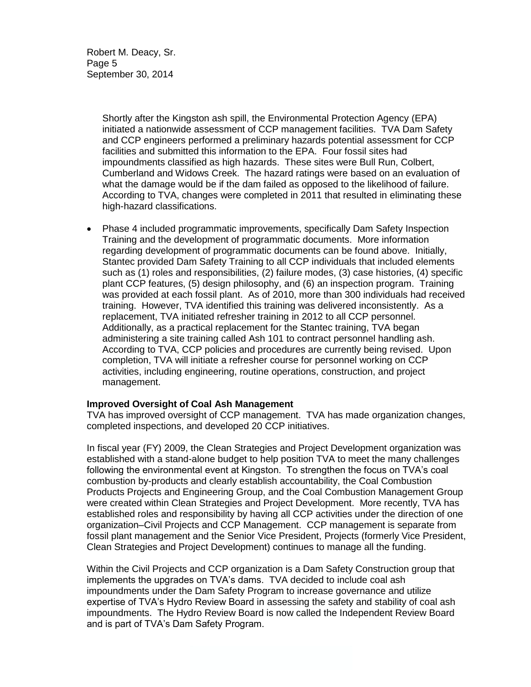Robert M. Deacy, Sr. Page 5 September 30, 2014

> Shortly after the Kingston ash spill, the Environmental Protection Agency (EPA) initiated a nationwide assessment of CCP management facilities. TVA Dam Safety and CCP engineers performed a preliminary hazards potential assessment for CCP facilities and submitted this information to the EPA. Four fossil sites had impoundments classified as high hazards. These sites were Bull Run, Colbert, Cumberland and Widows Creek. The hazard ratings were based on an evaluation of what the damage would be if the dam failed as opposed to the likelihood of failure. According to TVA, changes were completed in 2011 that resulted in eliminating these high-hazard classifications.

 Phase 4 included programmatic improvements, specifically Dam Safety Inspection Training and the development of programmatic documents. More information regarding development of programmatic documents can be found above. Initially, Stantec provided Dam Safety Training to all CCP individuals that included elements such as (1) roles and responsibilities, (2) failure modes, (3) case histories, (4) specific plant CCP features, (5) design philosophy, and (6) an inspection program. Training was provided at each fossil plant. As of 2010, more than 300 individuals had received training. However, TVA identified this training was delivered inconsistently. As a replacement, TVA initiated refresher training in 2012 to all CCP personnel. Additionally, as a practical replacement for the Stantec training, TVA began administering a site training called Ash 101 to contract personnel handling ash. According to TVA, CCP policies and procedures are currently being revised. Upon completion, TVA will initiate a refresher course for personnel working on CCP activities, including engineering, routine operations, construction, and project management.

### **Improved Oversight of Coal Ash Management**

TVA has improved oversight of CCP management. TVA has made organization changes, completed inspections, and developed 20 CCP initiatives.

In fiscal year (FY) 2009, the Clean Strategies and Project Development organization was established with a stand-alone budget to help position TVA to meet the many challenges following the environmental event at Kingston. To strengthen the focus on TVA's coal combustion by-products and clearly establish accountability, the Coal Combustion Products Projects and Engineering Group, and the Coal Combustion Management Group were created within Clean Strategies and Project Development. More recently, TVA has established roles and responsibility by having all CCP activities under the direction of one organization–Civil Projects and CCP Management. CCP management is separate from fossil plant management and the Senior Vice President, Projects (formerly Vice President, Clean Strategies and Project Development) continues to manage all the funding.

Within the Civil Projects and CCP organization is a Dam Safety Construction group that implements the upgrades on TVA's dams. TVA decided to include coal ash impoundments under the Dam Safety Program to increase governance and utilize expertise of TVA's Hydro Review Board in assessing the safety and stability of coal ash impoundments. The Hydro Review Board is now called the Independent Review Board and is part of TVA's Dam Safety Program.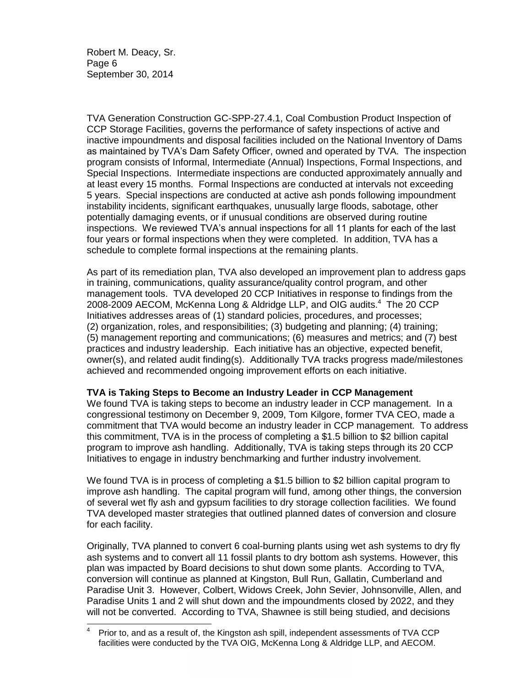Robert M. Deacy, Sr. Page 6 September 30, 2014

l

TVA Generation Construction GC-SPP-27.4.1, Coal Combustion Product Inspection of CCP Storage Facilities, governs the performance of safety inspections of active and inactive impoundments and disposal facilities included on the National Inventory of Dams as maintained by TVA's Dam Safety Officer, owned and operated by TVA. The inspection program consists of Informal, Intermediate (Annual) Inspections, Formal Inspections, and Special Inspections. Intermediate inspections are conducted approximately annually and at least every 15 months. Formal Inspections are conducted at intervals not exceeding 5 years. Special inspections are conducted at active ash ponds following impoundment instability incidents, significant earthquakes, unusually large floods, sabotage, other potentially damaging events, or if unusual conditions are observed during routine inspections. We reviewed TVA's annual inspections for all 11 plants for each of the last four years or formal inspections when they were completed. In addition, TVA has a schedule to complete formal inspections at the remaining plants.

As part of its remediation plan, TVA also developed an improvement plan to address gaps in training, communications, quality assurance/quality control program, and other management tools. TVA developed 20 CCP Initiatives in response to findings from the 2008-2009 AECOM, McKenna Long & Aldridge LLP, and OIG audits.<sup>4</sup> The 20 CCP Initiatives addresses areas of (1) standard policies, procedures, and processes; (2) organization, roles, and responsibilities; (3) budgeting and planning; (4) training; (5) management reporting and communications; (6) measures and metrics; and (7) best practices and industry leadership. Each initiative has an objective, expected benefit, owner(s), and related audit finding(s). Additionally TVA tracks progress made/milestones achieved and recommended ongoing improvement efforts on each initiative.

### **TVA is Taking Steps to Become an Industry Leader in CCP Management**

We found TVA is taking steps to become an industry leader in CCP management. In a congressional testimony on December 9, 2009, Tom Kilgore, former TVA CEO, made a commitment that TVA would become an industry leader in CCP management. To address this commitment, TVA is in the process of completing a \$1.5 billion to \$2 billion capital program to improve ash handling. Additionally, TVA is taking steps through its 20 CCP Initiatives to engage in industry benchmarking and further industry involvement.

We found TVA is in process of completing a \$1.5 billion to \$2 billion capital program to improve ash handling. The capital program will fund, among other things, the conversion of several wet fly ash and gypsum facilities to dry storage collection facilities. We found TVA developed master strategies that outlined planned dates of conversion and closure for each facility.

Originally, TVA planned to convert 6 coal-burning plants using wet ash systems to dry fly ash systems and to convert all 11 fossil plants to dry bottom ash systems. However, this plan was impacted by Board decisions to shut down some plants. According to TVA, conversion will continue as planned at Kingston, Bull Run, Gallatin, Cumberland and Paradise Unit 3. However, Colbert, Widows Creek, John Sevier, Johnsonville, Allen, and Paradise Units 1 and 2 will shut down and the impoundments closed by 2022, and they will not be converted. According to TVA, Shawnee is still being studied, and decisions

<sup>4</sup> Prior to, and as a result of, the Kingston ash spill, independent assessments of TVA CCP facilities were conducted by the TVA OIG, McKenna Long & Aldridge LLP, and AECOM.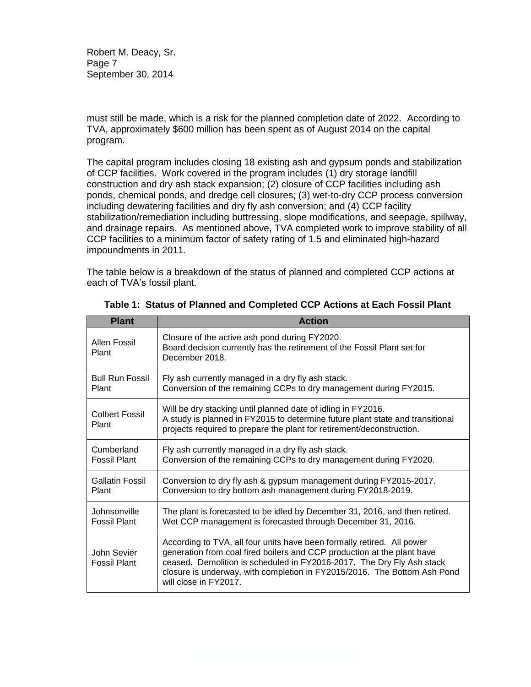Robert M. Deacy, Sr. Page 7 September 30, 2014

must still be made, which is a risk for the planned completion date of 2022. According to TVA, approximately \$600 million has been spent as of August 2014 on the capital program.

The capital program includes closing 18 existing ash and gypsum ponds and stabilization of CCP facilities. Work covered in the program includes (1) dry storage landfill construction and dry ash stack expansion; (2) closure of CCP facilities including ash ponds, chemical ponds, and dredge cell closures; (3) wet-to-dry CCP process conversion including dewatering facilities and dry fly ash conversion; and (4) CCP facility stabilization/remediation including buttressing, slope modifications, and seepage, spillway, and drainage repairs. As mentioned above, TVA completed work to improve stability of all CCP facilities to a minimum factor of safety rating of 1.5 and eliminated high-hazard impoundments in 2011.

The table below is a breakdown of the status of planned and completed CCP actions at each of TVA's fossil plant.

| <b>Plant</b>                       | <b>Action</b>                                                                                                                                                                                                                                                                                                                   |
|------------------------------------|---------------------------------------------------------------------------------------------------------------------------------------------------------------------------------------------------------------------------------------------------------------------------------------------------------------------------------|
| Allen Fossil<br>Plant              | Closure of the active ash pond during FY2020.<br>Board decision currently has the retirement of the Fossil Plant set for<br>December 2018.                                                                                                                                                                                      |
| <b>Bull Run Fossil</b>             | Fly ash currently managed in a dry fly ash stack.                                                                                                                                                                                                                                                                               |
| Plant                              | Conversion of the remaining CCPs to dry management during FY2015.                                                                                                                                                                                                                                                               |
| Colbert Fossil<br>Plant            | Will be dry stacking until planned date of idling in FY2016.<br>A study is planned in FY2015 to determine future plant state and transitional<br>projects required to prepare the plant for retirement/deconstruction.                                                                                                          |
| Cumberland                         | Fly ash currently managed in a dry fly ash stack.                                                                                                                                                                                                                                                                               |
| <b>Fossil Plant</b>                | Conversion of the remaining CCPs to dry management during FY2020.                                                                                                                                                                                                                                                               |
| <b>Gallatin Fossil</b>             | Conversion to dry fly ash & gypsum management during FY2015-2017.                                                                                                                                                                                                                                                               |
| Plant                              | Conversion to dry bottom ash management during FY2018-2019.                                                                                                                                                                                                                                                                     |
| Johnsonville                       | The plant is forecasted to be idled by December 31, 2016, and then retired.                                                                                                                                                                                                                                                     |
| <b>Fossil Plant</b>                | Wet CCP management is forecasted through December 31, 2016.                                                                                                                                                                                                                                                                     |
| John Sevier<br><b>Fossil Plant</b> | According to TVA, all four units have been formally retired. All power<br>generation from coal fired boilers and CCP production at the plant have<br>ceased. Demolition is scheduled in FY2016-2017. The Dry Fly Ash stack<br>closure is underway, with completion in FY2015/2016. The Bottom Ash Pond<br>will close in FY2017. |

|  | Table 1: Status of Planned and Completed CCP Actions at Each Fossil Plant |  |  |  |
|--|---------------------------------------------------------------------------|--|--|--|
|--|---------------------------------------------------------------------------|--|--|--|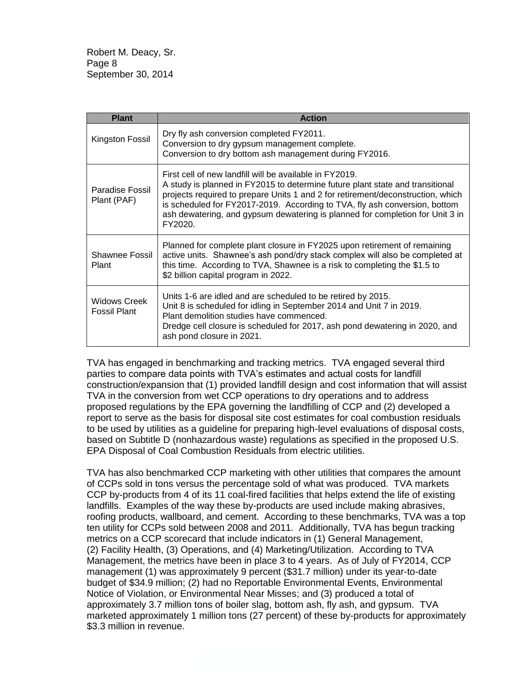Robert M. Deacy, Sr. Page 8 September 30, 2014

| <b>Plant</b>                               | <b>Action</b>                                                                                                                                                                                                                                                                                                                                                                                         |
|--------------------------------------------|-------------------------------------------------------------------------------------------------------------------------------------------------------------------------------------------------------------------------------------------------------------------------------------------------------------------------------------------------------------------------------------------------------|
| Kingston Fossil                            | Dry fly ash conversion completed FY2011.<br>Conversion to dry gypsum management complete.<br>Conversion to dry bottom ash management during FY2016.                                                                                                                                                                                                                                                   |
| Paradise Fossil<br>Plant (PAF)             | First cell of new landfill will be available in FY2019.<br>A study is planned in FY2015 to determine future plant state and transitional<br>projects required to prepare Units 1 and 2 for retirement/deconstruction, which<br>is scheduled for FY2017-2019. According to TVA, fly ash conversion, bottom<br>ash dewatering, and gypsum dewatering is planned for completion for Unit 3 in<br>FY2020. |
| Shawnee Fossil<br>Plant                    | Planned for complete plant closure in FY2025 upon retirement of remaining<br>active units. Shawnee's ash pond/dry stack complex will also be completed at<br>this time. According to TVA, Shawnee is a risk to completing the \$1.5 to<br>\$2 billion capital program in 2022.                                                                                                                        |
| <b>Widows Creek</b><br><b>Fossil Plant</b> | Units 1-6 are idled and are scheduled to be retired by 2015.<br>Unit 8 is scheduled for idling in September 2014 and Unit 7 in 2019.<br>Plant demolition studies have commenced.<br>Dredge cell closure is scheduled for 2017, ash pond dewatering in 2020, and<br>ash pond closure in 2021.                                                                                                          |

TVA has engaged in benchmarking and tracking metrics. TVA engaged several third parties to compare data points with TVA's estimates and actual costs for landfill construction/expansion that (1) provided landfill design and cost information that will assist TVA in the conversion from wet CCP operations to dry operations and to address proposed regulations by the EPA governing the landfilling of CCP and (2) developed a report to serve as the basis for disposal site cost estimates for coal combustion residuals to be used by utilities as a guideline for preparing high-level evaluations of disposal costs, based on Subtitle D (nonhazardous waste) regulations as specified in the proposed U.S. EPA Disposal of Coal Combustion Residuals from electric utilities.

TVA has also benchmarked CCP marketing with other utilities that compares the amount of CCPs sold in tons versus the percentage sold of what was produced. TVA markets CCP by-products from 4 of its 11 coal-fired facilities that helps extend the life of existing landfills. Examples of the way these by-products are used include making abrasives, roofing products, wallboard, and cement. According to these benchmarks, TVA was a top ten utility for CCPs sold between 2008 and 2011. Additionally, TVA has begun tracking metrics on a CCP scorecard that include indicators in (1) General Management, (2) Facility Health, (3) Operations, and (4) Marketing/Utilization. According to TVA Management, the metrics have been in place 3 to 4 years. As of July of FY2014, CCP management (1) was approximately 9 percent (\$31.7 million) under its year-to-date budget of \$34.9 million; (2) had no Reportable Environmental Events, Environmental Notice of Violation, or Environmental Near Misses; and (3) produced a total of approximately 3.7 million tons of boiler slag, bottom ash, fly ash, and gypsum. TVA marketed approximately 1 million tons (27 percent) of these by-products for approximately \$3.3 million in revenue.